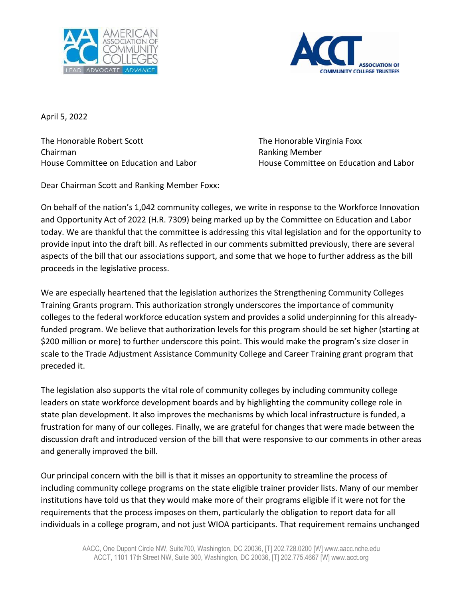



April 5, 2022

The Honorable Robert Scott The Honorable Virginia Foxx Chairman Ranking Member

House Committee on Education and Labor **House Committee on Education and Labor** 

Dear Chairman Scott and Ranking Member Foxx:

On behalf of the nation's 1,042 community colleges, we write in response to the Workforce Innovation and Opportunity Act of 2022 (H.R. 7309) being marked up by the Committee on Education and Labor today. We are thankful that the committee is addressing this vital legislation and for the opportunity to provide input into the draft bill. As reflected in our comments submitted previously, there are several aspects of the bill that our associations support, and some that we hope to further address as the bill proceeds in the legislative process.

We are especially heartened that the legislation authorizes the Strengthening Community Colleges Training Grants program. This authorization strongly underscores the importance of community colleges to the federal workforce education system and provides a solid underpinning for this alreadyfunded program. We believe that authorization levels for this program should be set higher (starting at \$200 million or more) to further underscore this point. This would make the program's size closer in scale to the Trade Adjustment Assistance Community College and Career Training grant program that preceded it.

The legislation also supports the vital role of community colleges by including community college leaders on state workforce development boards and by highlighting the community college role in state plan development. It also improves the mechanisms by which local infrastructure is funded, a frustration for many of our colleges. Finally, we are grateful for changes that were made between the discussion draft and introduced version of the bill that were responsive to our comments in other areas and generally improved the bill.

Our principal concern with the bill is that it misses an opportunity to streamline the process of including community college programs on the state eligible trainer provider lists. Many of our member institutions have told us that they would make more of their programs eligible if it were not for the requirements that the process imposes on them, particularly the obligation to report data for all individuals in a college program, and not just WIOA participants. That requirement remains unchanged